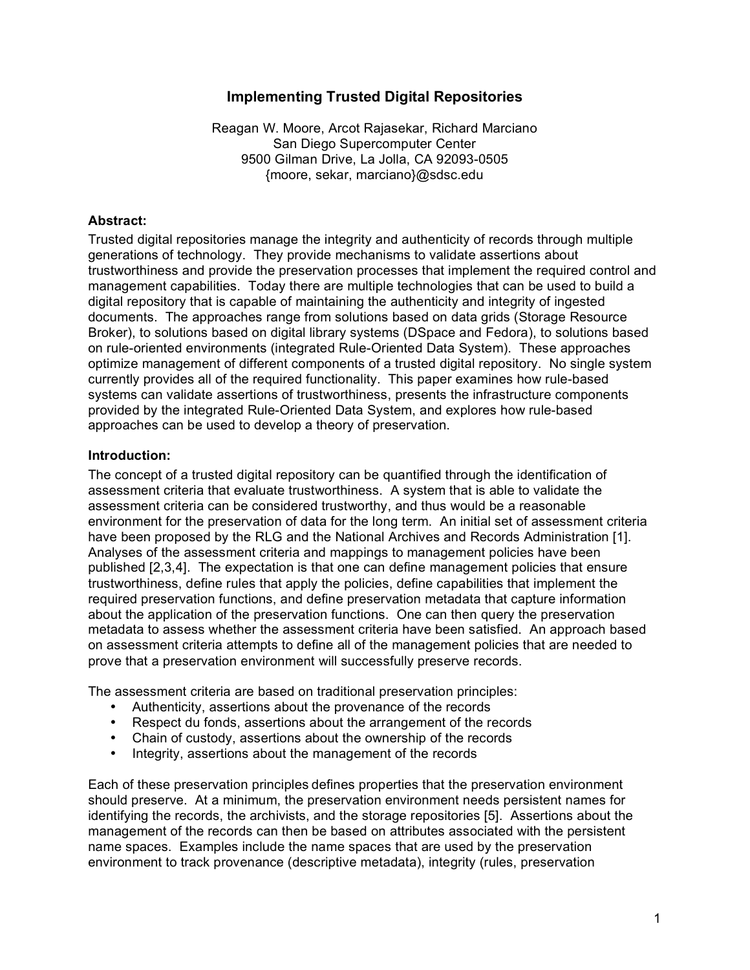### **Implementing Trusted Digital Repositories**

Reagan W. Moore, Arcot Rajasekar, Richard Marciano San Diego Supercomputer Center 9500 Gilman Drive, La Jolla, CA 92093-0505 {moore, sekar, marciano}@sdsc.edu

#### **Abstract:**

Trusted digital repositories manage the integrity and authenticity of records through multiple generations of technology. They provide mechanisms to validate assertions about trustworthiness and provide the preservation processes that implement the required control and management capabilities. Today there are multiple technologies that can be used to build a digital repository that is capable of maintaining the authenticity and integrity of ingested documents. The approaches range from solutions based on data grids (Storage Resource Broker), to solutions based on digital library systems (DSpace and Fedora), to solutions based on rule-oriented environments (integrated Rule-Oriented Data System). These approaches optimize management of different components of a trusted digital repository. No single system currently provides all of the required functionality. This paper examines how rule-based systems can validate assertions of trustworthiness, presents the infrastructure components provided by the integrated Rule-Oriented Data System, and explores how rule-based approaches can be used to develop a theory of preservation.

#### **Introduction:**

The concept of a trusted digital repository can be quantified through the identification of assessment criteria that evaluate trustworthiness. A system that is able to validate the assessment criteria can be considered trustworthy, and thus would be a reasonable environment for the preservation of data for the long term. An initial set of assessment criteria have been proposed by the RLG and the National Archives and Records Administration [1]. Analyses of the assessment criteria and mappings to management policies have been published [2,3,4]. The expectation is that one can define management policies that ensure trustworthiness, define rules that apply the policies, define capabilities that implement the required preservation functions, and define preservation metadata that capture information about the application of the preservation functions. One can then query the preservation metadata to assess whether the assessment criteria have been satisfied. An approach based on assessment criteria attempts to define all of the management policies that are needed to prove that a preservation environment will successfully preserve records.

The assessment criteria are based on traditional preservation principles:

- Authenticity, assertions about the provenance of the records
- Respect du fonds, assertions about the arrangement of the records
- Chain of custody, assertions about the ownership of the records
- Integrity, assertions about the management of the records

Each of these preservation principles defines properties that the preservation environment should preserve. At a minimum, the preservation environment needs persistent names for identifying the records, the archivists, and the storage repositories [5]. Assertions about the management of the records can then be based on attributes associated with the persistent name spaces. Examples include the name spaces that are used by the preservation environment to track provenance (descriptive metadata), integrity (rules, preservation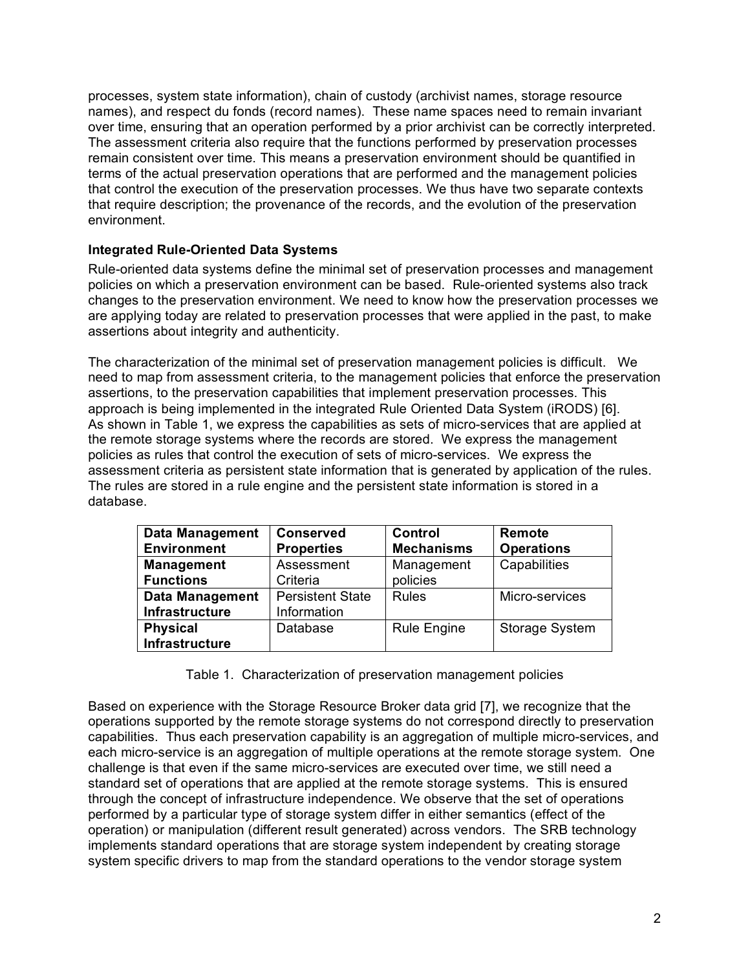processes, system state information), chain of custody (archivist names, storage resource names), and respect du fonds (record names). These name spaces need to remain invariant over time, ensuring that an operation performed by a prior archivist can be correctly interpreted. The assessment criteria also require that the functions performed by preservation processes remain consistent over time. This means a preservation environment should be quantified in terms of the actual preservation operations that are performed and the management policies that control the execution of the preservation processes. We thus have two separate contexts that require description; the provenance of the records, and the evolution of the preservation environment.

### **Integrated Rule-Oriented Data Systems**

Rule-oriented data systems define the minimal set of preservation processes and management policies on which a preservation environment can be based. Rule-oriented systems also track changes to the preservation environment. We need to know how the preservation processes we are applying today are related to preservation processes that were applied in the past, to make assertions about integrity and authenticity.

The characterization of the minimal set of preservation management policies is difficult. We need to map from assessment criteria, to the management policies that enforce the preservation assertions, to the preservation capabilities that implement preservation processes. This approach is being implemented in the integrated Rule Oriented Data System (iRODS) [6]. As shown in Table 1, we express the capabilities as sets of micro-services that are applied at the remote storage systems where the records are stored. We express the management policies as rules that control the execution of sets of micro-services. We express the assessment criteria as persistent state information that is generated by application of the rules. The rules are stored in a rule engine and the persistent state information is stored in a database.

| <b>Data Management</b><br><b>Environment</b> | <b>Conserved</b><br><b>Properties</b> | Control<br><b>Mechanisms</b> | Remote<br><b>Operations</b> |
|----------------------------------------------|---------------------------------------|------------------------------|-----------------------------|
| <b>Management</b>                            | Assessment                            | Management                   | Capabilities                |
| <b>Functions</b>                             | Criteria                              | policies                     |                             |
| <b>Data Management</b>                       | <b>Persistent State</b>               | <b>Rules</b>                 | Micro-services              |
| Infrastructure                               | Information                           |                              |                             |
| <b>Physical</b>                              | Database                              | <b>Rule Engine</b>           | <b>Storage System</b>       |
| Infrastructure                               |                                       |                              |                             |

### Table 1. Characterization of preservation management policies

Based on experience with the Storage Resource Broker data grid [7], we recognize that the operations supported by the remote storage systems do not correspond directly to preservation capabilities. Thus each preservation capability is an aggregation of multiple micro-services, and each micro-service is an aggregation of multiple operations at the remote storage system. One challenge is that even if the same micro-services are executed over time, we still need a standard set of operations that are applied at the remote storage systems. This is ensured through the concept of infrastructure independence. We observe that the set of operations performed by a particular type of storage system differ in either semantics (effect of the operation) or manipulation (different result generated) across vendors. The SRB technology implements standard operations that are storage system independent by creating storage system specific drivers to map from the standard operations to the vendor storage system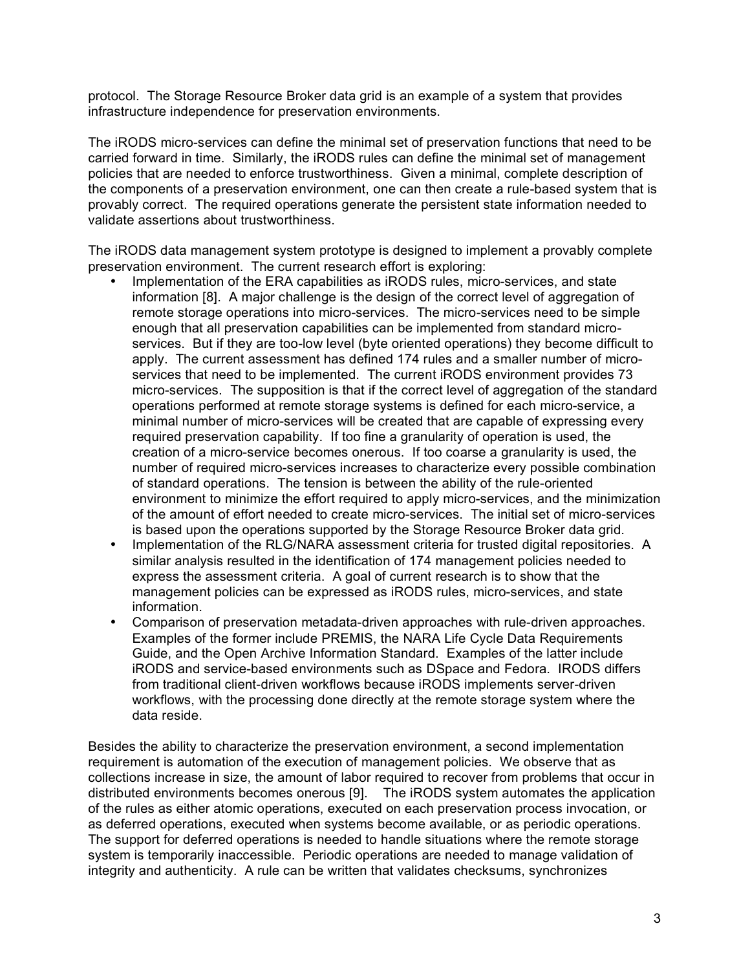protocol. The Storage Resource Broker data grid is an example of a system that provides infrastructure independence for preservation environments.

The iRODS micro-services can define the minimal set of preservation functions that need to be carried forward in time. Similarly, the iRODS rules can define the minimal set of management policies that are needed to enforce trustworthiness. Given a minimal, complete description of the components of a preservation environment, one can then create a rule-based system that is provably correct. The required operations generate the persistent state information needed to validate assertions about trustworthiness.

The iRODS data management system prototype is designed to implement a provably complete preservation environment. The current research effort is exploring:

- Implementation of the ERA capabilities as iRODS rules, micro-services, and state information [8]. A major challenge is the design of the correct level of aggregation of remote storage operations into micro-services. The micro-services need to be simple enough that all preservation capabilities can be implemented from standard microservices. But if they are too-low level (byte oriented operations) they become difficult to apply. The current assessment has defined 174 rules and a smaller number of microservices that need to be implemented. The current iRODS environment provides 73 micro-services. The supposition is that if the correct level of aggregation of the standard operations performed at remote storage systems is defined for each micro-service, a minimal number of micro-services will be created that are capable of expressing every required preservation capability. If too fine a granularity of operation is used, the creation of a micro-service becomes onerous. If too coarse a granularity is used, the number of required micro-services increases to characterize every possible combination of standard operations. The tension is between the ability of the rule-oriented environment to minimize the effort required to apply micro-services, and the minimization of the amount of effort needed to create micro-services. The initial set of micro-services is based upon the operations supported by the Storage Resource Broker data grid.
- Implementation of the RLG/NARA assessment criteria for trusted digital repositories. A similar analysis resulted in the identification of 174 management policies needed to express the assessment criteria. A goal of current research is to show that the management policies can be expressed as iRODS rules, micro-services, and state information.
- Comparison of preservation metadata-driven approaches with rule-driven approaches. Examples of the former include PREMIS, the NARA Life Cycle Data Requirements Guide, and the Open Archive Information Standard. Examples of the latter include iRODS and service-based environments such as DSpace and Fedora. IRODS differs from traditional client-driven workflows because iRODS implements server-driven workflows, with the processing done directly at the remote storage system where the data reside.

Besides the ability to characterize the preservation environment, a second implementation requirement is automation of the execution of management policies. We observe that as collections increase in size, the amount of labor required to recover from problems that occur in distributed environments becomes onerous [9]. The iRODS system automates the application of the rules as either atomic operations, executed on each preservation process invocation, or as deferred operations, executed when systems become available, or as periodic operations. The support for deferred operations is needed to handle situations where the remote storage system is temporarily inaccessible. Periodic operations are needed to manage validation of integrity and authenticity. A rule can be written that validates checksums, synchronizes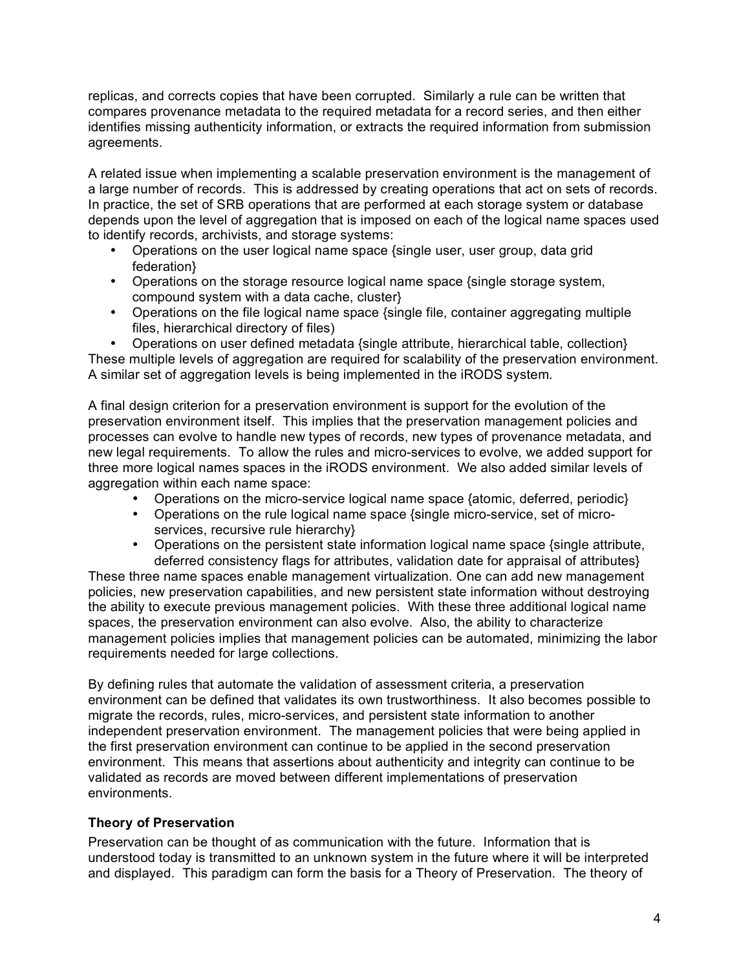replicas, and corrects copies that have been corrupted. Similarly a rule can be written that compares provenance metadata to the required metadata for a record series, and then either identifies missing authenticity information, or extracts the required information from submission agreements.

A related issue when implementing a scalable preservation environment is the management of a large number of records. This is addressed by creating operations that act on sets of records. In practice, the set of SRB operations that are performed at each storage system or database depends upon the level of aggregation that is imposed on each of the logical name spaces used to identify records, archivists, and storage systems:

- Operations on the user logical name space {single user, user group, data grid federation}
- Operations on the storage resource logical name space {single storage system, compound system with a data cache, cluster}
- Operations on the file logical name space {single file, container aggregating multiple files, hierarchical directory of files)

• Operations on user defined metadata {single attribute, hierarchical table, collection} These multiple levels of aggregation are required for scalability of the preservation environment. A similar set of aggregation levels is being implemented in the iRODS system.

A final design criterion for a preservation environment is support for the evolution of the preservation environment itself. This implies that the preservation management policies and processes can evolve to handle new types of records, new types of provenance metadata, and new legal requirements. To allow the rules and micro-services to evolve, we added support for three more logical names spaces in the iRODS environment. We also added similar levels of aggregation within each name space:

- Operations on the micro-service logical name space {atomic, deferred, periodic}
- Operations on the rule logical name space {single micro-service, set of microservices, recursive rule hierarchy}
- Operations on the persistent state information logical name space {single attribute, deferred consistency flags for attributes, validation date for appraisal of attributes}

These three name spaces enable management virtualization. One can add new management policies, new preservation capabilities, and new persistent state information without destroying the ability to execute previous management policies. With these three additional logical name spaces, the preservation environment can also evolve. Also, the ability to characterize management policies implies that management policies can be automated, minimizing the labor requirements needed for large collections.

By defining rules that automate the validation of assessment criteria, a preservation environment can be defined that validates its own trustworthiness. It also becomes possible to migrate the records, rules, micro-services, and persistent state information to another independent preservation environment. The management policies that were being applied in the first preservation environment can continue to be applied in the second preservation environment. This means that assertions about authenticity and integrity can continue to be validated as records are moved between different implementations of preservation environments.

## **Theory of Preservation**

Preservation can be thought of as communication with the future. Information that is understood today is transmitted to an unknown system in the future where it will be interpreted and displayed. This paradigm can form the basis for a Theory of Preservation. The theory of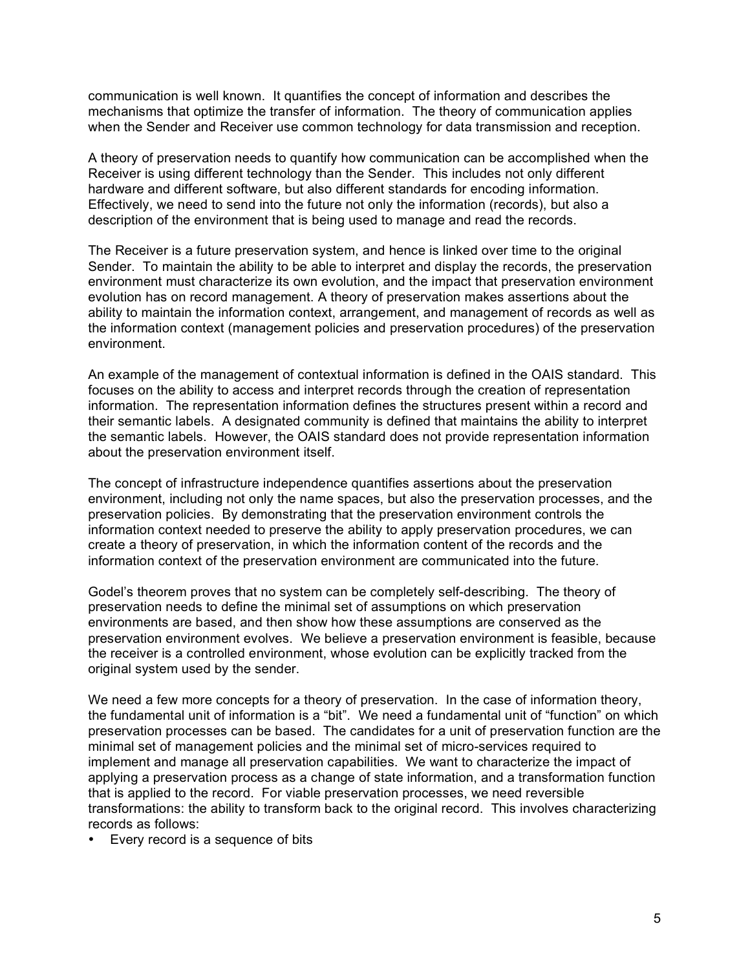communication is well known. It quantifies the concept of information and describes the mechanisms that optimize the transfer of information. The theory of communication applies when the Sender and Receiver use common technology for data transmission and reception.

A theory of preservation needs to quantify how communication can be accomplished when the Receiver is using different technology than the Sender. This includes not only different hardware and different software, but also different standards for encoding information. Effectively, we need to send into the future not only the information (records), but also a description of the environment that is being used to manage and read the records.

The Receiver is a future preservation system, and hence is linked over time to the original Sender. To maintain the ability to be able to interpret and display the records, the preservation environment must characterize its own evolution, and the impact that preservation environment evolution has on record management. A theory of preservation makes assertions about the ability to maintain the information context, arrangement, and management of records as well as the information context (management policies and preservation procedures) of the preservation environment.

An example of the management of contextual information is defined in the OAIS standard. This focuses on the ability to access and interpret records through the creation of representation information. The representation information defines the structures present within a record and their semantic labels. A designated community is defined that maintains the ability to interpret the semantic labels. However, the OAIS standard does not provide representation information about the preservation environment itself.

The concept of infrastructure independence quantifies assertions about the preservation environment, including not only the name spaces, but also the preservation processes, and the preservation policies. By demonstrating that the preservation environment controls the information context needed to preserve the ability to apply preservation procedures, we can create a theory of preservation, in which the information content of the records and the information context of the preservation environment are communicated into the future.

Godel's theorem proves that no system can be completely self-describing. The theory of preservation needs to define the minimal set of assumptions on which preservation environments are based, and then show how these assumptions are conserved as the preservation environment evolves. We believe a preservation environment is feasible, because the receiver is a controlled environment, whose evolution can be explicitly tracked from the original system used by the sender.

We need a few more concepts for a theory of preservation. In the case of information theory, the fundamental unit of information is a "bit". We need a fundamental unit of "function" on which preservation processes can be based. The candidates for a unit of preservation function are the minimal set of management policies and the minimal set of micro-services required to implement and manage all preservation capabilities. We want to characterize the impact of applying a preservation process as a change of state information, and a transformation function that is applied to the record. For viable preservation processes, we need reversible transformations: the ability to transform back to the original record. This involves characterizing records as follows:

• Every record is a sequence of bits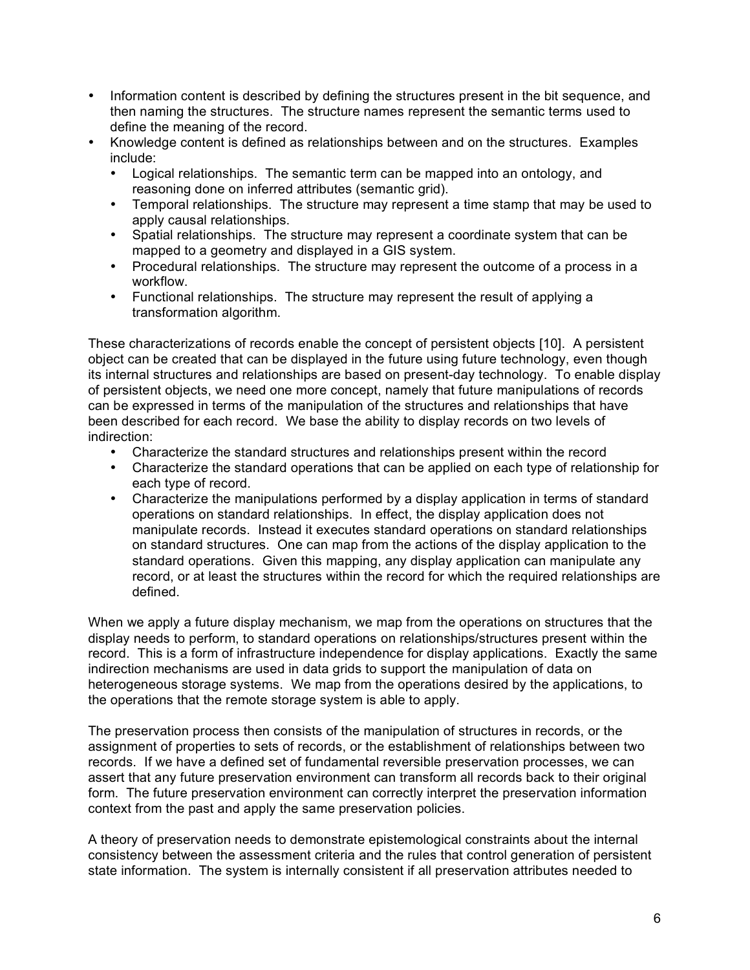- Information content is described by defining the structures present in the bit sequence, and then naming the structures. The structure names represent the semantic terms used to define the meaning of the record.
- Knowledge content is defined as relationships between and on the structures. Examples include:
	- Logical relationships. The semantic term can be mapped into an ontology, and reasoning done on inferred attributes (semantic grid).
	- Temporal relationships. The structure may represent a time stamp that may be used to apply causal relationships.
	- Spatial relationships. The structure may represent a coordinate system that can be mapped to a geometry and displayed in a GIS system.
	- Procedural relationships. The structure may represent the outcome of a process in a workflow.
	- Functional relationships. The structure may represent the result of applying a transformation algorithm.

These characterizations of records enable the concept of persistent objects [10]. A persistent object can be created that can be displayed in the future using future technology, even though its internal structures and relationships are based on present-day technology. To enable display of persistent objects, we need one more concept, namely that future manipulations of records can be expressed in terms of the manipulation of the structures and relationships that have been described for each record. We base the ability to display records on two levels of indirection:

- Characterize the standard structures and relationships present within the record
- Characterize the standard operations that can be applied on each type of relationship for each type of record.
- Characterize the manipulations performed by a display application in terms of standard operations on standard relationships. In effect, the display application does not manipulate records. Instead it executes standard operations on standard relationships on standard structures. One can map from the actions of the display application to the standard operations. Given this mapping, any display application can manipulate any record, or at least the structures within the record for which the required relationships are defined.

When we apply a future display mechanism, we map from the operations on structures that the display needs to perform, to standard operations on relationships/structures present within the record. This is a form of infrastructure independence for display applications. Exactly the same indirection mechanisms are used in data grids to support the manipulation of data on heterogeneous storage systems. We map from the operations desired by the applications, to the operations that the remote storage system is able to apply.

The preservation process then consists of the manipulation of structures in records, or the assignment of properties to sets of records, or the establishment of relationships between two records. If we have a defined set of fundamental reversible preservation processes, we can assert that any future preservation environment can transform all records back to their original form. The future preservation environment can correctly interpret the preservation information context from the past and apply the same preservation policies.

A theory of preservation needs to demonstrate epistemological constraints about the internal consistency between the assessment criteria and the rules that control generation of persistent state information. The system is internally consistent if all preservation attributes needed to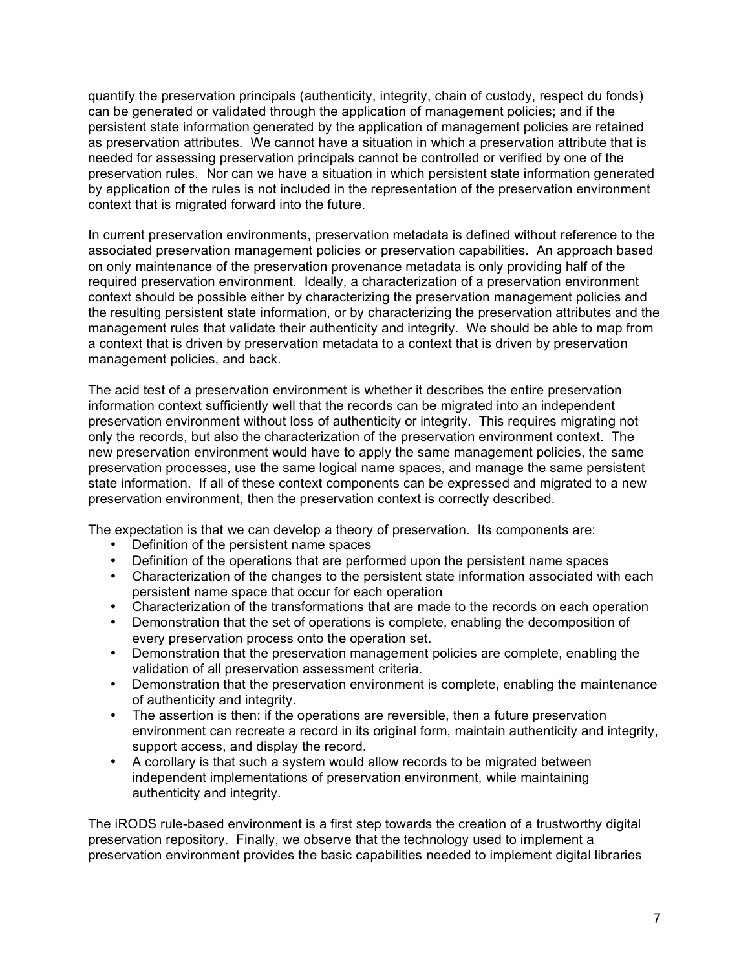quantify the preservation principals (authenticity, integrity, chain of custody, respect du fonds) can be generated or validated through the application of management policies; and if the persistent state information generated by the application of management policies are retained as preservation attributes. We cannot have a situation in which a preservation attribute that is needed for assessing preservation principals cannot be controlled or verified by one of the preservation rules. Nor can we have a situation in which persistent state information generated by application of the rules is not included in the representation of the preservation environment context that is migrated forward into the future.

In current preservation environments, preservation metadata is defined without reference to the associated preservation management policies or preservation capabilities. An approach based on only maintenance of the preservation provenance metadata is only providing half of the required preservation environment. Ideally, a characterization of a preservation environment context should be possible either by characterizing the preservation management policies and the resulting persistent state information, or by characterizing the preservation attributes and the management rules that validate their authenticity and integrity. We should be able to map from a context that is driven by preservation metadata to a context that is driven by preservation management policies, and back.

The acid test of a preservation environment is whether it describes the entire preservation information context sufficiently well that the records can be migrated into an independent preservation environment without loss of authenticity or integrity. This requires migrating not only the records, but also the characterization of the preservation environment context. The new preservation environment would have to apply the same management policies, the same preservation processes, use the same logical name spaces, and manage the same persistent state information. If all of these context components can be expressed and migrated to a new preservation environment, then the preservation context is correctly described.

The expectation is that we can develop a theory of preservation. Its components are:

- Definition of the persistent name spaces
- Definition of the operations that are performed upon the persistent name spaces
- Characterization of the changes to the persistent state information associated with each persistent name space that occur for each operation
- Characterization of the transformations that are made to the records on each operation
- Demonstration that the set of operations is complete, enabling the decomposition of every preservation process onto the operation set.
- Demonstration that the preservation management policies are complete, enabling the validation of all preservation assessment criteria.
- Demonstration that the preservation environment is complete, enabling the maintenance of authenticity and integrity.
- The assertion is then: if the operations are reversible, then a future preservation environment can recreate a record in its original form, maintain authenticity and integrity, support access, and display the record.
- A corollary is that such a system would allow records to be migrated between independent implementations of preservation environment, while maintaining authenticity and integrity.

The iRODS rule-based environment is a first step towards the creation of a trustworthy digital preservation repository. Finally, we observe that the technology used to implement a preservation environment provides the basic capabilities needed to implement digital libraries